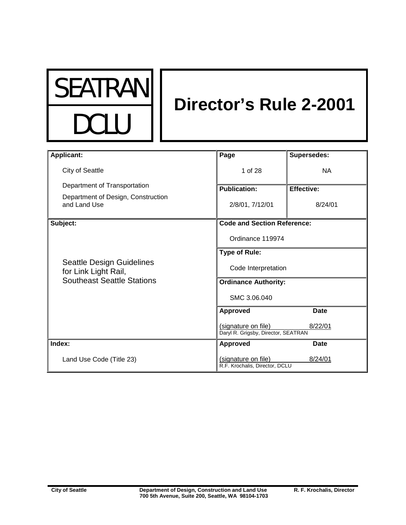

# **Director's Rule 2-2001**

| <b>Applicant:</b>                                                                             | Page                                                       | <b>Supersedes:</b> |
|-----------------------------------------------------------------------------------------------|------------------------------------------------------------|--------------------|
| City of Seattle                                                                               | 1 of 28                                                    | <b>NA</b>          |
| Department of Transportation                                                                  | <b>Publication:</b>                                        | <b>Effective:</b>  |
| Department of Design, Construction<br>and Land Use                                            | 2/8/01, 7/12/01                                            | 8/24/01            |
| Subject:                                                                                      | <b>Code and Section Reference:</b>                         |                    |
| <b>Seattle Design Guidelines</b><br>for Link Light Rail,<br><b>Southeast Seattle Stations</b> | Ordinance 119974                                           |                    |
|                                                                                               | <b>Type of Rule:</b>                                       |                    |
|                                                                                               | Code Interpretation                                        |                    |
|                                                                                               | <b>Ordinance Authority:</b>                                |                    |
|                                                                                               | SMC 3.06.040                                               |                    |
|                                                                                               | <b>Approved</b>                                            | <b>Date</b>        |
|                                                                                               | (signature on file)<br>Daryl R. Grigsby, Director, SEATRAN | 8/22/01            |
| Index:                                                                                        | <b>Approved</b>                                            | <b>Date</b>        |
| Land Use Code (Title 23)                                                                      | (signature on file)<br>R.F. Krochalis, Director, DCLU      | 8/24/01            |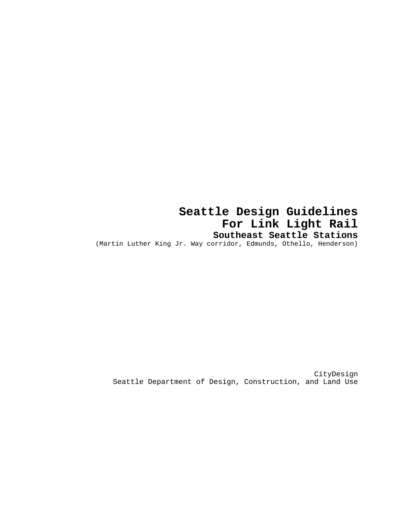**Seattle Design Guidelines For Link Light Rail Southeast Seattle Stations** (Martin Luther King Jr. Way corridor, Edmunds, Othello, Henderson)

CityDesign Seattle Department of Design, Construction, and Land Use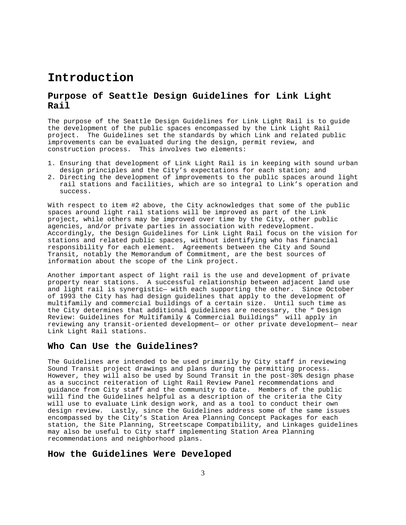# **Introduction**

# **Purpose of Seattle Design Guidelines for Link Light Rail**

The purpose of the Seattle Design Guidelines for Link Light Rail is to guide the development of the public spaces encompassed by the Link Light Rail project. The Guidelines set the standards by which Link and related public improvements can be evaluated during the design, permit review, and construction process. This involves two elements:

- 1. Ensuring that development of Link Light Rail is in keeping with sound urban design principles and the City's expectations for each station; and
- 2. Directing the development of improvements to the public spaces around light rail stations and facilities, which are so integral to Link's operation and success.

With respect to item #2 above, the City acknowledges that some of the public spaces around light rail stations will be improved as part of the Link project, while others may be improved over time by the City, other public agencies, and/or private parties in association with redevelopment. Accordingly, the Design Guidelines for Link Light Rail focus on the vision for stations and related public spaces, without identifying who has financial responsibility for each element. Agreements between the City and Sound Transit, notably the Memorandum of Commitment, are the best sources of information about the scope of the Link project.

Another important aspect of light rail is the use and development of private property near stations. A successful relationship between adjacent land use and light rail is synergistic— with each supporting the other. Since October of 1993 the City has had design guidelines that apply to the development of multifamily and commercial buildings of a certain size. Until such time as the City determines that additional guidelines are necessary, the " Design Review: Guidelines for Multifamily & Commercial Buildings" will apply in reviewing any transit-oriented development— or other private development— near Link Light Rail stations.

### **Who Can Use the Guidelines?**

The Guidelines are intended to be used primarily by City staff in reviewing Sound Transit project drawings and plans during the permitting process. However, they will also be used by Sound Transit in the post-30% design phase as a succinct reiteration of Light Rail Review Panel recommendations and guidance from City staff and the community to date. Members of the public will find the Guidelines helpful as a description of the criteria the City will use to evaluate Link design work, and as a tool to conduct their own design review. Lastly, since the Guidelines address some of the same issues encompassed by the City's Station Area Planning Concept Packages for each station, the Site Planning, Streetscape Compatibility, and Linkages guidelines may also be useful to City staff implementing Station Area Planning recommendations and neighborhood plans.

### **How the Guidelines Were Developed**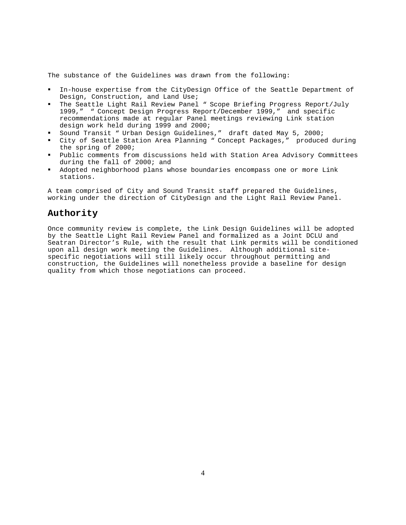The substance of the Guidelines was drawn from the following:

- In-house expertise from the CityDesign Office of the Seattle Department of Design, Construction, and Land Use;
- The Seattle Light Rail Review Panel " Scope Briefing Progress Report/July 1999," " Concept Design Progress Report/December 1999," and specific recommendations made at regular Panel meetings reviewing Link station design work held during 1999 and 2000;
- Sound Transit " Urban Design Guidelines," draft dated May 5, 2000;
- ! City of Seattle Station Area Planning " Concept Packages," produced during the spring of 2000;
- ! Public comments from discussions held with Station Area Advisory Committees during the fall of 2000; and
- ! Adopted neighborhood plans whose boundaries encompass one or more Link stations.

A team comprised of City and Sound Transit staff prepared the Guidelines, working under the direction of CityDesign and the Light Rail Review Panel.

### **Authority**

Once community review is complete, the Link Design Guidelines will be adopted by the Seattle Light Rail Review Panel and formalized as a Joint DCLU and Seatran Director's Rule, with the result that Link permits will be conditioned upon all design work meeting the Guidelines. Although additional sitespecific negotiations will still likely occur throughout permitting and construction, the Guidelines will nonetheless provide a baseline for design quality from which those negotiations can proceed.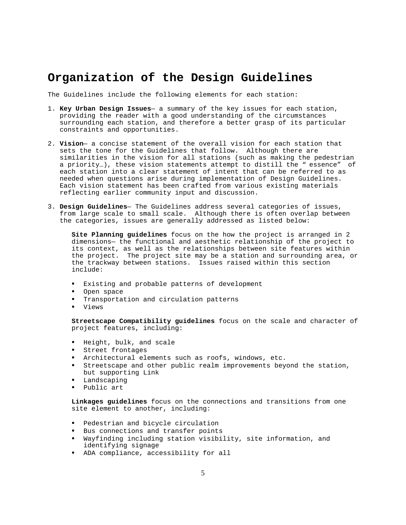# **Organization of the Design Guidelines**

The Guidelines include the following elements for each station:

- 1. **Key Urban Design Issues** a summary of the key issues for each station, providing the reader with a good understanding of the circumstances surrounding each station, and therefore a better grasp of its particular constraints and opportunities.
- 2. **Vision** a concise statement of the overall vision for each station that sets the tone for the Guidelines that follow. Although there are similarities in the vision for all stations (such as making the pedestrian a priority…), these vision statements attempt to distill the " essence" of each station into a clear statement of intent that can be referred to as needed when questions arise during implementation of Design Guidelines. Each vision statement has been crafted from various existing materials reflecting earlier community input and discussion.
- 3. **Design Guidelines** The Guidelines address several categories of issues, from large scale to small scale. Although there is often overlap between the categories, issues are generally addressed as listed below:

**Site Planning guidelines** focus on the how the project is arranged in 2 dimensions— the functional and aesthetic relationship of the project to its context, as well as the relationships between site features within the project. The project site may be a station and surrounding area, or the trackway between stations. Issues raised within this section include:

- ! Existing and probable patterns of development
- **.** Open space
- ! Transportation and circulation patterns
- ! Views

**Streetscape Compatibility guidelines** focus on the scale and character of project features, including:

- ! Height, bulk, and scale
- ! Street frontages
- ! Architectural elements such as roofs, windows, etc.
- ! Streetscape and other public realm improvements beyond the station, but supporting Link
- ! Landscaping
- ! Public art

**Linkages guidelines** focus on the connections and transitions from one site element to another, including:

- ! Pedestrian and bicycle circulation
- ! Bus connections and transfer points
- ! Wayfinding including station visibility, site information, and identifying signage
- ! ADA compliance, accessibility for all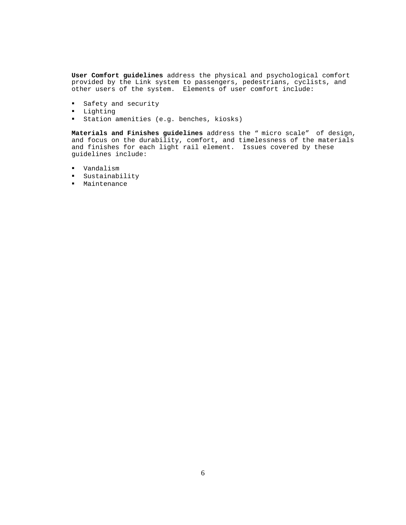**User Comfort guidelines** address the physical and psychological comfort provided by the Link system to passengers, pedestrians, cyclists, and other users of the system. Elements of user comfort include:

- ! Safety and security
- ! Lighting
- ! Station amenities (e.g. benches, kiosks)

**Materials and Finishes guidelines** address the " micro scale" of design, and focus on the durability, comfort, and timelessness of the materials and finishes for each light rail element. Issues covered by these guidelines include:

- ! Vandalism
- ! Sustainability
- ! Maintenance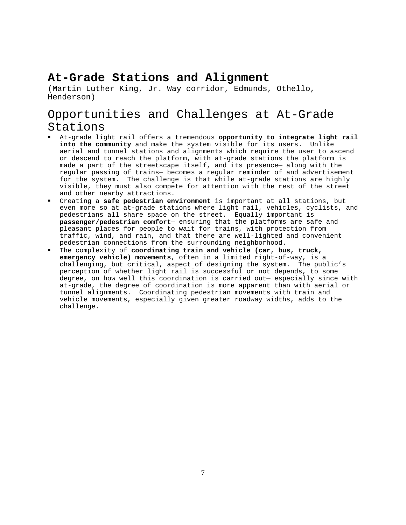# **At-Grade Stations and Alignment**

(Martin Luther King, Jr. Way corridor, Edmunds, Othello, Henderson)

# Opportunities and Challenges at At-Grade Stations

- ! At-grade light rail offers a tremendous **opportunity to integrate light rail into the community** and make the system visible for its users. Unlike aerial and tunnel stations and alignments which require the user to ascend or descend to reach the platform, with at-grade stations the platform is made a part of the streetscape itself, and its presence— along with the regular passing of trains— becomes a regular reminder of and advertisement for the system. The challenge is that while at-grade stations are highly visible, they must also compete for attention with the rest of the street and other nearby attractions.
- ! Creating a **safe pedestrian environment** is important at all stations, but even more so at at-grade stations where light rail, vehicles, cyclists, and pedestrians all share space on the street. Equally important is **passenger/pedestrian comfort**— ensuring that the platforms are safe and pleasant places for people to wait for trains, with protection from traffic, wind, and rain, and that there are well-lighted and convenient pedestrian connections from the surrounding neighborhood.
- ! The complexity of **coordinating train and vehicle (car, bus, truck, emergency vehicle) movements**, often in a limited right-of-way, is a challenging, but critical, aspect of designing the system. The public's perception of whether light rail is successful or not depends, to some degree, on how well this coordination is carried out— especially since with at-grade, the degree of coordination is more apparent than with aerial or tunnel alignments. Coordinating pedestrian movements with train and vehicle movements, especially given greater roadway widths, adds to the challenge.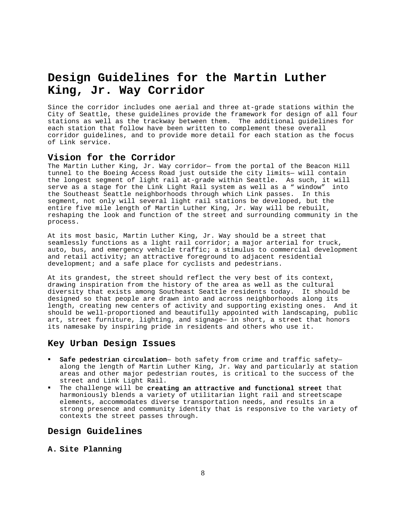# **Design Guidelines for the Martin Luther King, Jr. Way Corridor**

Since the corridor includes one aerial and three at-grade stations within the City of Seattle, these guidelines provide the framework for design of all four stations as well as the trackway between them. The additional guidelines for each station that follow have been written to complement these overall corridor guidelines, and to provide more detail for each station as the focus of Link service.

### **Vision for the Corridor**

The Martin Luther King, Jr. Way corridor— from the portal of the Beacon Hill tunnel to the Boeing Access Road just outside the city limits— will contain the longest segment of light rail at-grade within Seattle. As such, it will serve as a stage for the Link Light Rail system as well as a " window" into the Southeast Seattle neighborhoods through which Link passes. In this segment, not only will several light rail stations be developed, but the entire five mile length of Martin Luther King, Jr. Way will be rebuilt, reshaping the look and function of the street and surrounding community in the process.

At its most basic, Martin Luther King, Jr. Way should be a street that seamlessly functions as a light rail corridor; a major arterial for truck, auto, bus, and emergency vehicle traffic; a stimulus to commercial development and retail activity; an attractive foreground to adjacent residential development; and a safe place for cyclists and pedestrians.

At its grandest, the street should reflect the very best of its context, drawing inspiration from the history of the area as well as the cultural diversity that exists among Southeast Seattle residents today. It should be designed so that people are drawn into and across neighborhoods along its length, creating new centers of activity and supporting existing ones. And it should be well-proportioned and beautifully appointed with landscaping, public art, street furniture, lighting, and signage— in short, a street that honors its namesake by inspiring pride in residents and others who use it.

#### **Key Urban Design Issues**

- ! **Safe pedestrian circulation** both safety from crime and traffic safety along the length of Martin Luther King, Jr. Way and particularly at station areas and other major pedestrian routes, is critical to the success of the street and Link Light Rail.
- ! The challenge will be **creating an attractive and functional street** that harmoniously blends a variety of utilitarian light rail and streetscape elements, accommodates diverse transportation needs, and results in a strong presence and community identity that is responsive to the variety of contexts the street passes through.

### **Design Guidelines**

**A. Site Planning**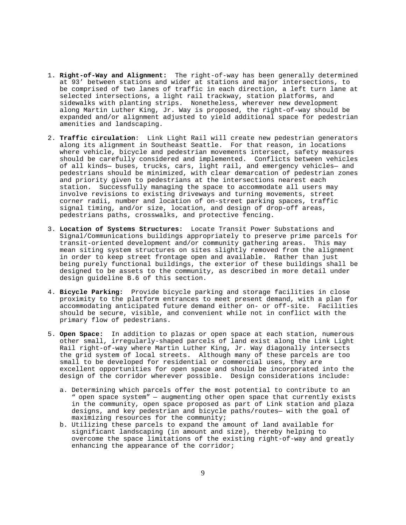- 1. **Right-of-Way and Alignment:** The right-of-way has been generally determined at 93' between stations and wider at stations and major intersections, to be comprised of two lanes of traffic in each direction, a left turn lane at selected intersections, a light rail trackway, station platforms, and sidewalks with planting strips. Nonetheless, wherever new development along Martin Luther King, Jr. Way is proposed, the right-of-way should be expanded and/or alignment adjusted to yield additional space for pedestrian amenities and landscaping.
- 2. **Traffic circulation**: Link Light Rail will create new pedestrian generators along its alignment in Southeast Seattle. For that reason, in locations where vehicle, bicycle and pedestrian movements intersect, safety measures should be carefully considered and implemented. Conflicts between vehicles of all kinds— buses, trucks, cars, light rail, and emergency vehicles— and pedestrians should be minimized, with clear demarcation of pedestrian zones and priority given to pedestrians at the intersections nearest each station. Successfully managing the space to accommodate all users may involve revisions to existing driveways and turning movements, street corner radii, number and location of on-street parking spaces, traffic signal timing, and/or size, location, and design of drop-off areas, pedestrians paths, crosswalks, and protective fencing.
- 3. **Location of Systems Structures:** Locate Transit Power Substations and Signal/Communications buildings appropriately to preserve prime parcels for transit-oriented development and/or community gathering areas. This may mean siting system structures on sites slightly removed from the alignment in order to keep street frontage open and available. Rather than just being purely functional buildings, the exterior of these buildings shall be designed to be assets to the community, as described in more detail under design guideline B.6 of this section.
- 4. **Bicycle Parking:** Provide bicycle parking and storage facilities in close proximity to the platform entrances to meet present demand, with a plan for accommodating anticipated future demand either on- or off-site. Facilities should be secure, visible, and convenient while not in conflict with the primary flow of pedestrians.
- 5. **Open Space:** In addition to plazas or open space at each station, numerous other small, irregularly-shaped parcels of land exist along the Link Light Rail right-of-way where Martin Luther King, Jr. Way diagonally intersects the grid system of local streets. Although many of these parcels are too small to be developed for residential or commercial uses, they are excellent opportunities for open space and should be incorporated into the design of the corridor wherever possible. Design considerations include:
	- a. Determining which parcels offer the most potential to contribute to an " open space system" — augmenting other open space that currently exists in the community, open space proposed as part of Link station and plaza designs, and key pedestrian and bicycle paths/routes— with the goal of maximizing resources for the community;
	- b. Utilizing these parcels to expand the amount of land available for significant landscaping (in amount and size), thereby helping to overcome the space limitations of the existing right-of-way and greatly enhancing the appearance of the corridor;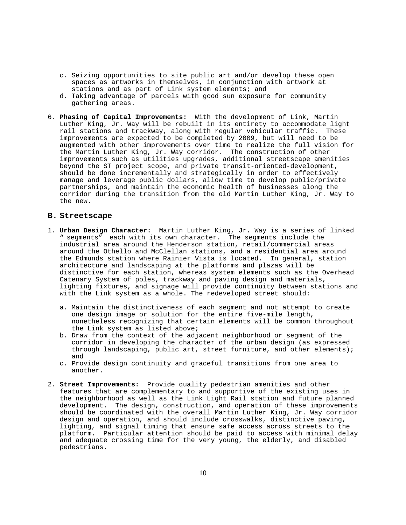- c. Seizing opportunities to site public art and/or develop these open spaces as artworks in themselves, in conjunction with artwork at stations and as part of Link system elements; and
- d. Taking advantage of parcels with good sun exposure for community gathering areas.
- 6. **Phasing of Capital Improvements:** With the development of Link, Martin Luther King, Jr. Way will be rebuilt in its entirety to accommodate light rail stations and trackway, along with regular vehicular traffic. These improvements are expected to be completed by 2009, but will need to be augmented with other improvements over time to realize the full vision for the Martin Luther King, Jr. Way corridor. The construction of other improvements such as utilities upgrades, additional streetscape amenities beyond the ST project scope, and private transit-oriented-development, should be done incrementally and strategically in order to effectively manage and leverage public dollars, allow time to develop public/private partnerships, and maintain the economic health of businesses along the corridor during the transition from the old Martin Luther King, Jr. Way to the new.

#### **B. Streetscape**

- 1. **Urban Design Character:** Martin Luther King, Jr. Way is a series of linked " segments" each with its own character. The segments include the industrial area around the Henderson station, retail/commercial areas around the Othello and McClellan stations, and a residential area around the Edmunds station where Rainier Vista is located. In general, station architecture and landscaping at the platforms and plazas will be distinctive for each station, whereas system elements such as the Overhead Catenary System of poles, trackway and paving design and materials, lighting fixtures, and signage will provide continuity between stations and with the Link system as a whole. The redeveloped street should:
	- a. Maintain the distinctiveness of each segment and not attempt to create one design image or solution for the entire five-mile length, nonetheless recognizing that certain elements will be common throughout the Link system as listed above;
	- b. Draw from the context of the adjacent neighborhood or segment of the corridor in developing the character of the urban design (as expressed through landscaping, public art, street furniture, and other elements); and
	- c. Provide design continuity and graceful transitions from one area to another.
- 2. **Street Improvements:** Provide quality pedestrian amenities and other features that are complementary to and supportive of the existing uses in the neighborhood as well as the Link Light Rail station and future planned development. The design, construction, and operation of these improvements should be coordinated with the overall Martin Luther King, Jr. Way corridor design and operation, and should include crosswalks, distinctive paving, lighting, and signal timing that ensure safe access across streets to the platform. Particular attention should be paid to access with minimal delay and adequate crossing time for the very young, the elderly, and disabled pedestrians.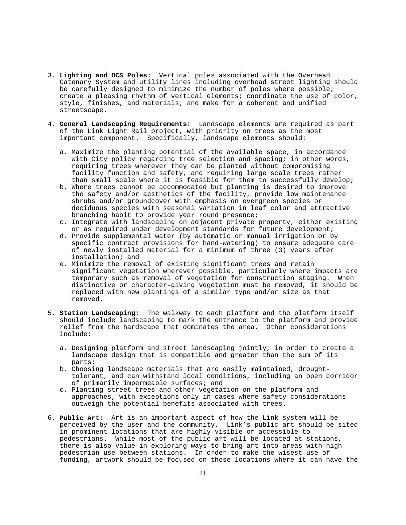- 3. **Lighting and OCS Poles:** Vertical poles associated with the Overhead Catenary System and utility lines including overhead street lighting should be carefully designed to minimize the number of poles where possible; create a pleasing rhythm of vertical elements; coordinate the use of color, style, finishes, and materials; and make for a coherent and unified streetscape.
- 4. **General Landscaping Requirements:** Landscape elements are required as part of the Link Light Rail project, with priority on trees as the most important component. Specifically, landscape elements should:
	- a. Maximize the planting potential of the available space, in accordance with City policy regarding tree selection and spacing; in other words, requiring trees wherever they can be planted without compromising facility function and safety, and requiring large scale trees rather than small scale where it is feasible for them to successfully develop;
	- b. Where trees cannot be accommodated but planting is desired to improve the safety and/or aesthetics of the facility, provide low maintenance shrubs and/or groundcover with emphasis on evergreen species or deciduous species with seasonal variation in leaf color and attractive branching habit to provide year round presence;
	- c. Integrate with landscaping on adjacent private property, either existing or as required under development standards for future development;
	- d. Provide supplemental water (by automatic or manual irrigation or by specific contract provisions for hand-watering) to ensure adequate care of newly installed material for a minimum of three (3) years after installation; and
	- e. Minimize the removal of existing significant trees and retain significant vegetation wherever possible, particularly where impacts are temporary such as removal of vegetation for construction staging. When distinctive or character-giving vegetation must be removed, it should be replaced with new plantings of a similar type and/or size as that removed.
- 5. **Station Landscaping:** The walkway to each platform and the platform itself should include landscaping to mark the entrance to the platform and provide relief from the hardscape that dominates the area. Other considerations include:
	- a. Designing platform and street landscaping jointly, in order to create a landscape design that is compatible and greater than the sum of its parts;
	- b. Choosing landscape materials that are easily maintained, droughttolerant, and can withstand local conditions, including an open corridor of primarily impermeable surfaces; and
	- c. Planting street trees and other vegetation on the platform and approaches, with exceptions only in cases where safety considerations outweigh the potential benefits associated with trees.
- 6. **Public Art:** Art is an important aspect of how the Link system will be perceived by the user and the community. Link's public art should be sited in prominent locations that are highly visible or accessible to pedestrians. While most of the public art will be located at stations, there is also value in exploring ways to bring art into areas with high pedestrian use between stations. In order to make the wisest use of funding, artwork should be focused on those locations where it can have the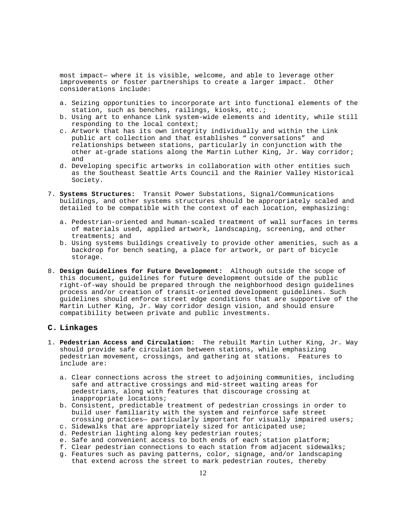most impact— where it is visible, welcome, and able to leverage other improvements or foster partnerships to create a larger impact. Other considerations include:

- a. Seizing opportunities to incorporate art into functional elements of the station, such as benches, railings, kiosks, etc.;
- b. Using art to enhance Link system-wide elements and identity, while still responding to the local context;
- c. Artwork that has its own integrity individually and within the Link public art collection and that establishes " conversations" and relationships between stations, particularly in conjunction with the other at-grade stations along the Martin Luther King, Jr. Way corridor; and
- d. Developing specific artworks in collaboration with other entities such as the Southeast Seattle Arts Council and the Rainier Valley Historical Society.
- 7. **Systems Structures:** Transit Power Substations, Signal/Communications buildings, and other systems structures should be appropriately scaled and detailed to be compatible with the context of each location, emphasizing:
	- a. Pedestrian-oriented and human-scaled treatment of wall surfaces in terms of materials used, applied artwork, landscaping, screening, and other treatments; and
	- b. Using systems buildings creatively to provide other amenities, such as a backdrop for bench seating, a place for artwork, or part of bicycle storage.
- 8. **Design Guidelines for Future Development:** Although outside the scope of this document, guidelines for future development outside of the public right-of-way should be prepared through the neighborhood design guidelines process and/or creation of transit-oriented development guidelines. Such guidelines should enforce street edge conditions that are supportive of the Martin Luther King, Jr. Way corridor design vision, and should ensure compatibility between private and public investments.

### **C. Linkages**

- 1. **Pedestrian Access and Circulation:** The rebuilt Martin Luther King, Jr. Way should provide safe circulation between stations, while emphasizing pedestrian movement, crossings, and gathering at stations. Features to include are:
	- a. Clear connections across the street to adjoining communities, including safe and attractive crossings and mid-street waiting areas for pedestrians, along with features that discourage crossing at inappropriate locations;
	- b. Consistent, predictable treatment of pedestrian crossings in order to build user familiarity with the system and reinforce safe street crossing practices— particularly important for visually impaired users;
	- c. Sidewalks that are appropriately sized for anticipated use;
	- d. Pedestrian lighting along key pedestrian routes;
	- e. Safe and convenient access to both ends of each station platform;
	- f. Clear pedestrian connections to each station from adjacent sidewalks;
	- g. Features such as paving patterns, color, signage, and/or landscaping that extend across the street to mark pedestrian routes, thereby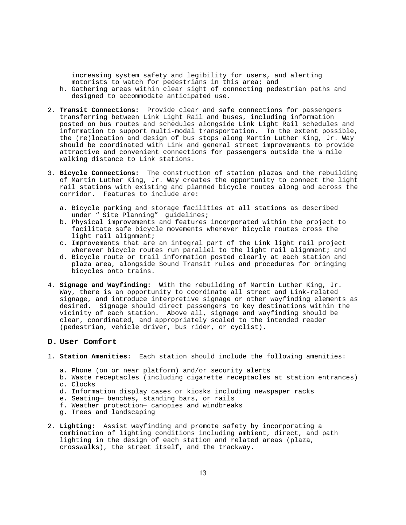increasing system safety and legibility for users, and alerting motorists to watch for pedestrians in this area; and h. Gathering areas within clear sight of connecting pedestrian paths and designed to accommodate anticipated use.

- 2. **Transit Connections:** Provide clear and safe connections for passengers transferring between Link Light Rail and buses, including information posted on bus routes and schedules alongside Link Light Rail schedules and information to support multi-modal transportation. To the extent possible, the (re)location and design of bus stops along Martin Luther King, Jr. Way should be coordinated with Link and general street improvements to provide attractive and convenient connections for passengers outside the ¼ mile walking distance to Link stations.
- 3. **Bicycle Connections:** The construction of station plazas and the rebuilding of Martin Luther King, Jr. Way creates the opportunity to connect the light rail stations with existing and planned bicycle routes along and across the corridor. Features to include are:
	- a. Bicycle parking and storage facilities at all stations as described under " Site Planning" guidelines;
	- b. Physical improvements and features incorporated within the project to facilitate safe bicycle movements wherever bicycle routes cross the light rail alignment;
	- c. Improvements that are an integral part of the Link light rail project wherever bicycle routes run parallel to the light rail alignment; and
	- d. Bicycle route or trail information posted clearly at each station and plaza area, alongside Sound Transit rules and procedures for bringing bicycles onto trains.
- 4. **Signage and Wayfinding:** With the rebuilding of Martin Luther King, Jr. Way, there is an opportunity to coordinate all street and Link-related signage, and introduce interpretive signage or other wayfinding elements as desired. Signage should direct passengers to key destinations within the vicinity of each station. Above all, signage and wayfinding should be clear, coordinated, and appropriately scaled to the intended reader (pedestrian, vehicle driver, bus rider, or cyclist).

#### **D. User Comfort**

- 1. **Station Amenities:** Each station should include the following amenities:
	- a. Phone (on or near platform) and/or security alerts
	- b. Waste receptacles (including cigarette receptacles at station entrances) c. Clocks
		- d. Information display cases or kiosks including newspaper racks
		- e. Seating— benches, standing bars, or rails
		- f. Weather protection— canopies and windbreaks
		- g. Trees and landscaping
- 2. **Lighting:** Assist wayfinding and promote safety by incorporating a combination of lighting conditions including ambient, direct, and path lighting in the design of each station and related areas (plaza, crosswalks), the street itself, and the trackway.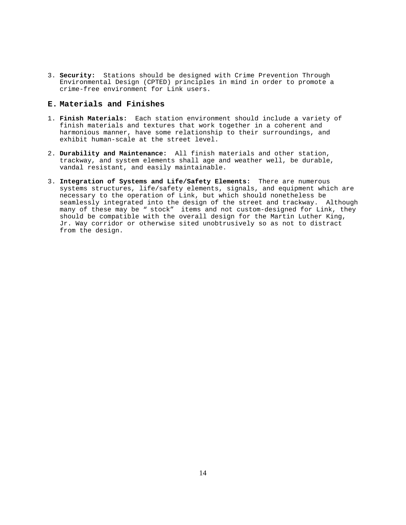3. **Security:** Stations should be designed with Crime Prevention Through Environmental Design (CPTED) principles in mind in order to promote a crime-free environment for Link users.

#### **E. Materials and Finishes**

- 1. **Finish Materials:** Each station environment should include a variety of finish materials and textures that work together in a coherent and harmonious manner, have some relationship to their surroundings, and exhibit human-scale at the street level.
- 2. **Durability and Maintenance:** All finish materials and other station, trackway, and system elements shall age and weather well, be durable, vandal resistant, and easily maintainable.
- 3. **Integration of Systems and Life/Safety Elements:** There are numerous systems structures, life/safety elements, signals, and equipment which are necessary to the operation of Link, but which should nonetheless be seamlessly integrated into the design of the street and trackway. Although many of these may be " stock" items and not custom-designed for Link, they should be compatible with the overall design for the Martin Luther King, Jr. Way corridor or otherwise sited unobtrusively so as not to distract from the design.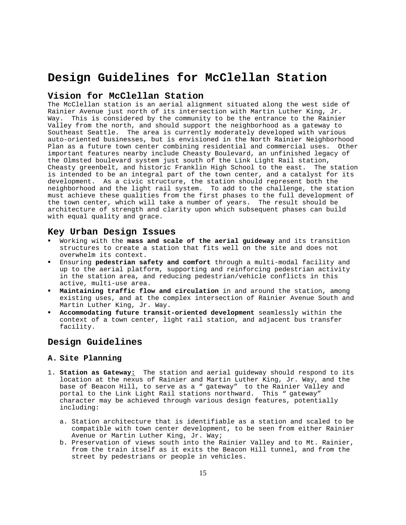# **Design Guidelines for McClellan Station**

## **Vision for McClellan Station**

The McClellan station is an aerial alignment situated along the west side of Rainier Avenue just north of its intersection with Martin Luther King, Jr. Way. This is considered by the community to be the entrance to the Rainier Valley from the north, and should support the neighborhood as a gateway to Southeast Seattle. The area is currently moderately developed with various auto-oriented businesses, but is envisioned in the North Rainier Neighborhood Plan as a future town center combining residential and commercial uses. Other important features nearby include Cheasty Boulevard, an unfinished legacy of the Olmsted boulevard system just south of the Link Light Rail station, Cheasty greenbelt, and historic Franklin High School to the east. The station is intended to be an integral part of the town center, and a catalyst for its development. As a civic structure, the station should represent both the neighborhood and the light rail system. To add to the challenge, the station must achieve these qualities from the first phases to the full development of the town center, which will take a number of years. The result should be architecture of strength and clarity upon which subsequent phases can build with equal quality and grace.

#### **Key Urban Design Issues**

- ! Working with the **mass and scale of the aerial guideway** and its transition structures to create a station that fits well on the site and does not overwhelm its context.
- ! Ensuring **pedestrian safety and comfort** through a multi-modal facility and up to the aerial platform, supporting and reinforcing pedestrian activity in the station area, and reducing pedestrian/vehicle conflicts in this active, multi-use area.
- Maintaining traffic flow and circulation in and around the station, among existing uses, and at the complex intersection of Rainier Avenue South and Martin Luther King, Jr. Way.
- ! **Accommodating future transit-oriented development** seamlessly within the context of a town center, light rail station, and adjacent bus transfer facility.

# **Design Guidelines**

#### **A. Site Planning**

- 1. **Station as Gateway:** The station and aerial guideway should respond to its location at the nexus of Rainier and Martin Luther King, Jr. Way, and the base of Beacon Hill, to serve as a " gateway" to the Rainier Valley and portal to the Link Light Rail stations northward. This " gateway" character may be achieved through various design features, potentially including:
	- a. Station architecture that is identifiable as a station and scaled to be compatible with town center development, to be seen from either Rainier Avenue or Martin Luther King, Jr. Way;
	- b. Preservation of views south into the Rainier Valley and to Mt. Rainier, from the train itself as it exits the Beacon Hill tunnel, and from the street by pedestrians or people in vehicles.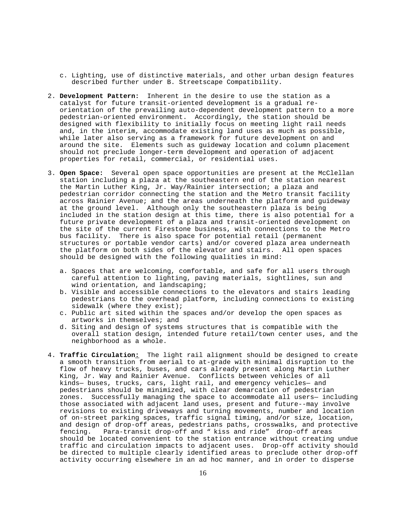- c. Lighting, use of distinctive materials, and other urban design features described further under B. Streetscape Compatibility.
- 2. **Development Pattern:** Inherent in the desire to use the station as a catalyst for future transit-oriented development is a gradual reorientation of the prevailing auto-dependent development pattern to a more pedestrian-oriented environment. Accordingly, the station should be designed with flexibility to initially focus on meeting light rail needs and, in the interim, accommodate existing land uses as much as possible, while later also serving as a framework for future development on and around the site. Elements such as guideway location and column placement should not preclude longer-term development and operation of adjacent properties for retail, commercial, or residential uses.
- 3. **Open Space:** Several open space opportunities are present at the McClellan station including a plaza at the southeastern end of the station nearest the Martin Luther King, Jr. Way/Rainier intersection; a plaza and pedestrian corridor connecting the station and the Metro transit facility across Rainier Avenue; and the areas underneath the platform and guideway at the ground level. Although only the southeastern plaza is being included in the station design at this time, there is also potential for a future private development of a plaza and transit-oriented development on the site of the current Firestone business, with connections to the Metro bus facility. There is also space for potential retail (permanent structures or portable vendor carts) and/or covered plaza area underneath the platform on both sides of the elevator and stairs. All open spaces should be designed with the following qualities in mind:
	- a. Spaces that are welcoming, comfortable, and safe for all users through careful attention to lighting, paving materials, sightlines, sun and wind orientation, and landscaping;
	- b. Visible and accessible connections to the elevators and stairs leading pedestrians to the overhead platform, including connections to existing sidewalk (where they exist);
	- c. Public art sited within the spaces and/or develop the open spaces as artworks in themselves; and
	- d. Siting and design of systems structures that is compatible with the overall station design, intended future retail/town center uses, and the neighborhood as a whole.
- 4. **Traffic Circulation:** The light rail alignment should be designed to create a smooth transition from aerial to at-grade with minimal disruption to the flow of heavy trucks, buses, and cars already present along Martin Luther King, Jr. Way and Rainier Avenue. Conflicts between vehicles of all kinds— buses, trucks, cars, light rail, and emergency vehicles— and pedestrians should be minimized, with clear demarcation of pedestrian zones. Successfully managing the space to accommodate all users— including those associated with adjacent land uses, present and future--may involve revisions to existing driveways and turning movements, number and location of on-street parking spaces, traffic signal timing, and/or size, location, and design of drop-off areas, pedestrians paths, crosswalks, and protective fencing. Para-transit drop-off and " kiss and ride" drop-off areas should be located convenient to the station entrance without creating undue traffic and circulation impacts to adjacent uses. Drop-off activity should be directed to multiple clearly identified areas to preclude other drop-off activity occurring elsewhere in an ad hoc manner, and in order to disperse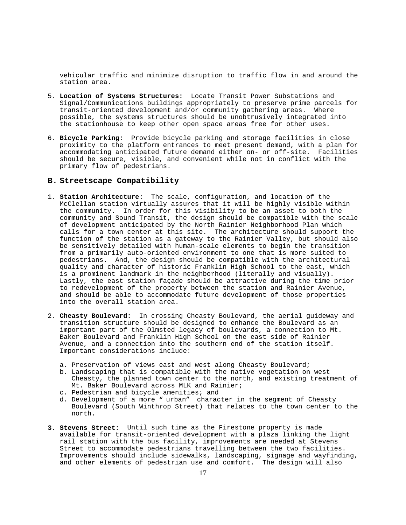vehicular traffic and minimize disruption to traffic flow in and around the station area.

- 5. **Location of Systems Structures:** Locate Transit Power Substations and Signal/Communications buildings appropriately to preserve prime parcels for transit-oriented development and/or community gathering areas. Where possible, the systems structures should be unobtrusively integrated into the stationhouse to keep other open space areas free for other uses.
- 6. **Bicycle Parking:** Provide bicycle parking and storage facilities in close proximity to the platform entrances to meet present demand, with a plan for accommodating anticipated future demand either on- or off-site. Facilities should be secure, visible, and convenient while not in conflict with the primary flow of pedestrians.

#### **B. Streetscape Compatibility**

- 1. **Station Architecture:** The scale, configuration, and location of the McClellan station virtually assures that it will be highly visible within the community. In order for this visibility to be an asset to both the community and Sound Transit, the design should be compatible with the scale of development anticipated by the North Rainier Neighborhood Plan which calls for a town center at this site. The architecture should support the function of the station as a gateway to the Rainier Valley, but should also be sensitively detailed with human-scale elements to begin the transition from a primarily auto-oriented environment to one that is more suited to pedestrians. And, the design should be compatible with the architectural quality and character of historic Franklin High School to the east, which is a prominent landmark in the neighborhood (literally and visually). Lastly, the east station façade should be attractive during the time prior to redevelopment of the property between the station and Rainier Avenue, and should be able to accommodate future development of those properties into the overall station area.
- 2. **Cheasty Boulevard:** In crossing Cheasty Boulevard, the aerial guideway and transition structure should be designed to enhance the Boulevard as an important part of the Olmsted legacy of boulevards, a connection to Mt. Baker Boulevard and Franklin High School on the east side of Rainier Avenue, and a connection into the southern end of the station itself. Important considerations include:
	- a. Preservation of views east and west along Cheasty Boulevard;
	- b. Landscaping that is compatible with the native vegetation on west Cheasty, the planned town center to the north, and existing treatment of Mt. Baker Boulevard across MLK and Rainier;
	- c. Pedestrian and bicycle amenities; and
	- d. Development of a more " urban" character in the segment of Cheasty Boulevard (South Winthrop Street) that relates to the town center to the north.
- **3. Stevens Street:** Until such time as the Firestone property is made available for transit-oriented development with a plaza linking the light rail station with the bus facility, improvements are needed at Stevens Street to accommodate pedestrians travelling between the two facilities. Improvements should include sidewalks, landscaping, signage and wayfinding, and other elements of pedestrian use and comfort. The design will also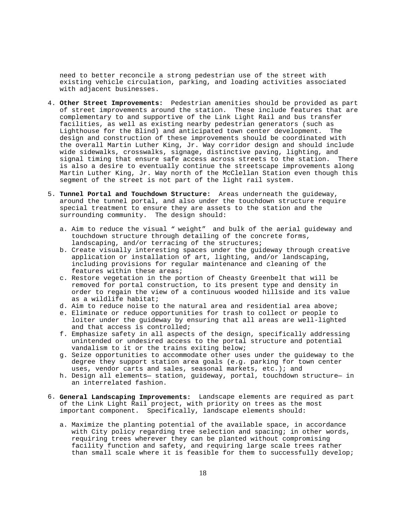need to better reconcile a strong pedestrian use of the street with existing vehicle circulation, parking, and loading activities associated with adjacent businesses.

- 4. **Other Street Improvements:** Pedestrian amenities should be provided as part of street improvements around the station. These include features that are complementary to and supportive of the Link Light Rail and bus transfer facilities, as well as existing nearby pedestrian generators (such as Lighthouse for the Blind) and anticipated town center development. The design and construction of these improvements should be coordinated with the overall Martin Luther King, Jr. Way corridor design and should include wide sidewalks, crosswalks, signage, distinctive paving, lighting, and signal timing that ensure safe access across streets to the station. There is also a desire to eventually continue the streetscape improvements along Martin Luther King, Jr. Way north of the McClellan Station even though this segment of the street is not part of the light rail system.
- 5. **Tunnel Portal and Touchdown Structure:** Areas underneath the guideway, around the tunnel portal, and also under the touchdown structure require special treatment to ensure they are assets to the station and the surrounding community. The design should:
	- a. Aim to reduce the visual " weight" and bulk of the aerial guideway and touchdown structure through detailing of the concrete forms, landscaping, and/or terracing of the structures;
	- b. Create visually interesting spaces under the guideway through creative application or installation of art, lighting, and/or landscaping, including provisions for regular maintenance and cleaning of the features within these areas;
	- c. Restore vegetation in the portion of Cheasty Greenbelt that will be removed for portal construction, to its present type and density in order to regain the view of a continuous wooded hillside and its value as a wildlife habitat;
	- d. Aim to reduce noise to the natural area and residential area above;
	- e. Eliminate or reduce opportunities for trash to collect or people to loiter under the guideway by ensuring that all areas are well-lighted and that access is controlled;
	- f. Emphasize safety in all aspects of the design, specifically addressing unintended or undesired access to the portal structure and potential vandalism to it or the trains exiting below;
	- g. Seize opportunities to accommodate other uses under the guideway to the degree they support station area goals (e.g. parking for town center uses, vendor carts and sales, seasonal markets, etc.); and
	- h. Design all elements— station, guideway, portal, touchdown structure— in an interrelated fashion.
- 6. **General Landscaping Improvements:** Landscape elements are required as part of the Link Light Rail project, with priority on trees as the most important component. Specifically, landscape elements should:
	- a. Maximize the planting potential of the available space, in accordance with City policy regarding tree selection and spacing; in other words, requiring trees wherever they can be planted without compromising facility function and safety, and requiring large scale trees rather than small scale where it is feasible for them to successfully develop;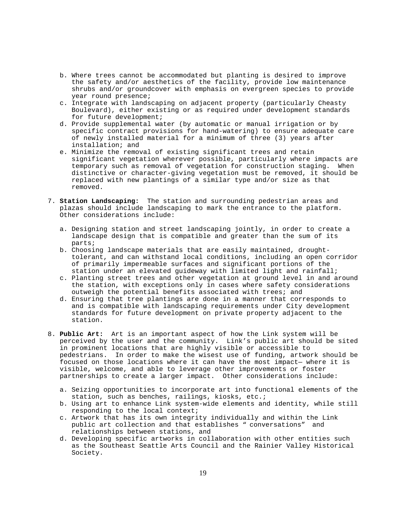- b. Where trees cannot be accommodated but planting is desired to improve the safety and/or aesthetics of the facility, provide low maintenance shrubs and/or groundcover with emphasis on evergreen species to provide year round presence;
- c. Integrate with landscaping on adjacent property (particularly Cheasty Boulevard), either existing or as required under development standards for future development;
- d. Provide supplemental water (by automatic or manual irrigation or by specific contract provisions for hand-watering) to ensure adequate care of newly installed material for a minimum of three (3) years after installation; and
- e. Minimize the removal of existing significant trees and retain significant vegetation wherever possible, particularly where impacts are temporary such as removal of vegetation for construction staging. When distinctive or character-giving vegetation must be removed, it should be replaced with new plantings of a similar type and/or size as that removed.
- 7. **Station Landscaping:** The station and surrounding pedestrian areas and plazas should include landscaping to mark the entrance to the platform. Other considerations include:
	- a. Designing station and street landscaping jointly, in order to create a landscape design that is compatible and greater than the sum of its parts;
	- b. Choosing landscape materials that are easily maintained, droughttolerant, and can withstand local conditions, including an open corridor of primarily impermeable surfaces and significant portions of the station under an elevated guideway with limited light and rainfall;
	- c. Planting street trees and other vegetation at ground level in and around the station, with exceptions only in cases where safety considerations outweigh the potential benefits associated with trees; and
	- d. Ensuring that tree plantings are done in a manner that corresponds to and is compatible with landscaping requirements under City development standards for future development on private property adjacent to the station.
- 8. **Public Art:** Art is an important aspect of how the Link system will be perceived by the user and the community. Link's public art should be sited in prominent locations that are highly visible or accessible to pedestrians. In order to make the wisest use of funding, artwork should be focused on those locations where it can have the most impact— where it is visible, welcome, and able to leverage other improvements or foster partnerships to create a larger impact. Other considerations include:
	- a. Seizing opportunities to incorporate art into functional elements of the station, such as benches, railings, kiosks, etc.;
	- b. Using art to enhance Link system-wide elements and identity, while still responding to the local context;
	- c. Artwork that has its own integrity individually and within the Link public art collection and that establishes " conversations" and relationships between stations, and
	- d. Developing specific artworks in collaboration with other entities such as the Southeast Seattle Arts Council and the Rainier Valley Historical Society.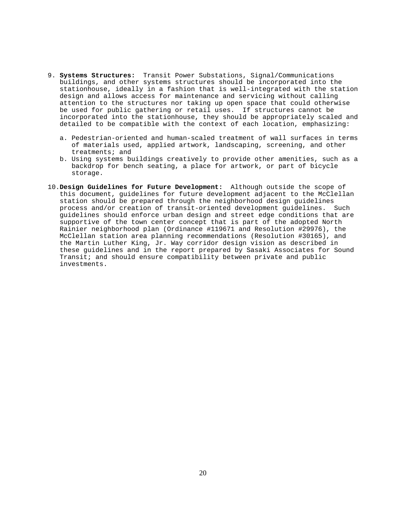- 9. **Systems Structures:** Transit Power Substations, Signal/Communications buildings, and other systems structures should be incorporated into the stationhouse, ideally in a fashion that is well-integrated with the station design and allows access for maintenance and servicing without calling attention to the structures nor taking up open space that could otherwise be used for public gathering or retail uses. If structures cannot be incorporated into the stationhouse, they should be appropriately scaled and detailed to be compatible with the context of each location, emphasizing:
	- a. Pedestrian-oriented and human-scaled treatment of wall surfaces in terms of materials used, applied artwork, landscaping, screening, and other treatments; and
	- b. Using systems buildings creatively to provide other amenities, such as a backdrop for bench seating, a place for artwork, or part of bicycle storage.
- 10.**Design Guidelines for Future Development:** Although outside the scope of this document, guidelines for future development adjacent to the McClellan station should be prepared through the neighborhood design guidelines process and/or creation of transit-oriented development guidelines. Such guidelines should enforce urban design and street edge conditions that are supportive of the town center concept that is part of the adopted North Rainier neighborhood plan (Ordinance #119671 and Resolution #29976), the McClellan station area planning recommendations (Resolution #30165), and the Martin Luther King, Jr. Way corridor design vision as described in these guidelines and in the report prepared by Sasaki Associates for Sound Transit; and should ensure compatibility between private and public investments.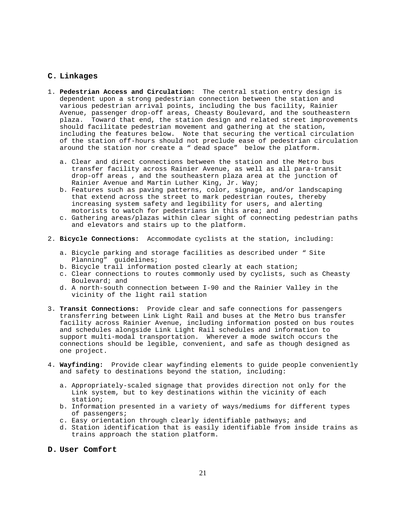#### **C. Linkages**

- 1. **Pedestrian Access and Circulation:** The central station entry design is dependent upon a strong pedestrian connection between the station and various pedestrian arrival points, including the bus facility, Rainier Avenue, passenger drop-off areas, Cheasty Boulevard, and the southeastern plaza. Toward that end, the station design and related street improvements should facilitate pedestrian movement and gathering at the station, including the features below. Note that securing the vertical circulation of the station off-hours should not preclude ease of pedestrian circulation around the station nor create a " dead space" below the platform.
	- a. Clear and direct connections between the station and the Metro bus transfer facility across Rainier Avenue, as well as all para-transit drop-off areas , and the southeastern plaza area at the junction of Rainier Avenue and Martin Luther King, Jr. Way;
	- b. Features such as paving patterns, color, signage, and/or landscaping that extend across the street to mark pedestrian routes, thereby increasing system safety and legibility for users, and alerting motorists to watch for pedestrians in this area; and
	- c. Gathering areas/plazas within clear sight of connecting pedestrian paths and elevators and stairs up to the platform.
- 2. **Bicycle Connections:** Accommodate cyclists at the station, including:
	- a. Bicycle parking and storage facilities as described under " Site Planning" guidelines;
	- b. Bicycle trail information posted clearly at each station;
	- c. Clear connections to routes commonly used by cyclists, such as Cheasty Boulevard; and
	- d. A north-south connection between I-90 and the Rainier Valley in the vicinity of the light rail station
- 3. **Transit Connections:** Provide clear and safe connections for passengers transferring between Link Light Rail and buses at the Metro bus transfer facility across Rainier Avenue, including information posted on bus routes and schedules alongside Link Light Rail schedules and information to support multi-modal transportation. Wherever a mode switch occurs the connections should be legible, convenient, and safe as though designed as one project.
- 4. **Wayfinding:** Provide clear wayfinding elements to guide people conveniently and safety to destinations beyond the station, including:
	- a. Appropriately-scaled signage that provides direction not only for the Link system, but to key destinations within the vicinity of each station;
	- b. Information presented in a variety of ways/mediums for different types of passengers;
	- c. Easy orientation through clearly identifiable pathways; and
	- d. Station identification that is easily identifiable from inside trains as trains approach the station platform.

#### **D. User Comfort**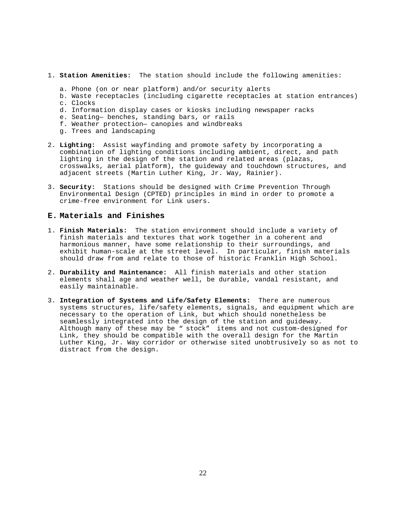- 1. **Station Amenities:** The station should include the following amenities:
	- a. Phone (on or near platform) and/or security alerts
	- b. Waste receptacles (including cigarette receptacles at station entrances) c. Clocks
	- d. Information display cases or kiosks including newspaper racks
	- e. Seating— benches, standing bars, or rails
	- f. Weather protection— canopies and windbreaks
	- g. Trees and landscaping
- 2. **Lighting:** Assist wayfinding and promote safety by incorporating a combination of lighting conditions including ambient, direct, and path lighting in the design of the station and related areas (plazas, crosswalks, aerial platform), the guideway and touchdown structures, and adjacent streets (Martin Luther King, Jr. Way, Rainier).
- 3. **Security:** Stations should be designed with Crime Prevention Through Environmental Design (CPTED) principles in mind in order to promote a crime-free environment for Link users.

#### **E. Materials and Finishes**

- 1. **Finish Materials:** The station environment should include a variety of finish materials and textures that work together in a coherent and harmonious manner, have some relationship to their surroundings, and exhibit human-scale at the street level. In particular, finish materials should draw from and relate to those of historic Franklin High School.
- 2. **Durability and Maintenance:** All finish materials and other station elements shall age and weather well, be durable, vandal resistant, and easily maintainable.
- 3. **Integration of Systems and Life/Safety Elements:** There are numerous systems structures, life/safety elements, signals, and equipment which are necessary to the operation of Link, but which should nonetheless be seamlessly integrated into the design of the station and guideway. Although many of these may be " stock" items and not custom-designed for Link, they should be compatible with the overall design for the Martin Luther King, Jr. Way corridor or otherwise sited unobtrusively so as not to distract from the design.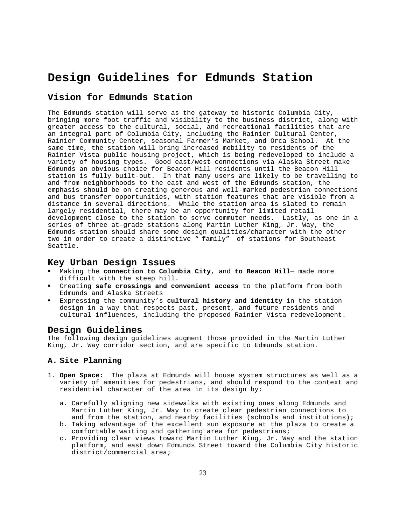# **Design Guidelines for Edmunds Station**

# **Vision for Edmunds Station**

The Edmunds station will serve as the gateway to historic Columbia City, bringing more foot traffic and visibility to the business district, along with greater access to the cultural, social, and recreational facilities that are an integral part of Columbia City, including the Rainier Cultural Center, Rainier Community Center, seasonal Farmer's Market, and Orca School. At the same time, the station will bring increased mobility to residents of the Rainier Vista public housing project, which is being redeveloped to include a variety of housing types. Good east/west connections via Alaska Street make Edmunds an obvious choice for Beacon Hill residents until the Beacon Hill station is fully built-out. In that many users are likely to be travelling to and from neighborhoods to the east and west of the Edmunds station, the emphasis should be on creating generous and well-marked pedestrian connections and bus transfer opportunities, with station features that are visible from a distance in several directions. While the station area is slated to remain largely residential, there may be an opportunity for limited retail development close to the station to serve commuter needs. Lastly, as one in a series of three at-grade stations along Martin Luther King, Jr. Way, the Edmunds station should share some design qualities/character with the other two in order to create a distinctive " family" of stations for Southeast Seattle.

#### **Key Urban Design Issues**

- ! Making the **connection to Columbia City**, and **to Beacon Hill** made more difficult with the steep hill.
- ! Creating **safe crossings and convenient access** to the platform from both Edmunds and Alaska Streets
- ! Expressing the community's **cultural history and identity** in the station design in a way that respects past, present, and future residents and cultural influences, including the proposed Rainier Vista redevelopment.

### **Design Guidelines**

The following design guidelines augment those provided in the Martin Luther King, Jr. Way corridor section, and are specific to Edmunds station.

### **A. Site Planning**

- 1. **Open Space:** The plaza at Edmunds will house system structures as well as a variety of amenities for pedestrians, and should respond to the context and residential character of the area in its design by:
	- a. Carefully aligning new sidewalks with existing ones along Edmunds and Martin Luther King, Jr. Way to create clear pedestrian connections to and from the station, and nearby facilities (schools and institutions);
	- b. Taking advantage of the excellent sun exposure at the plaza to create a comfortable waiting and gathering area for pedestrians;
	- c. Providing clear views toward Martin Luther King, Jr. Way and the station platform, and east down Edmunds Street toward the Columbia City historic district/commercial area;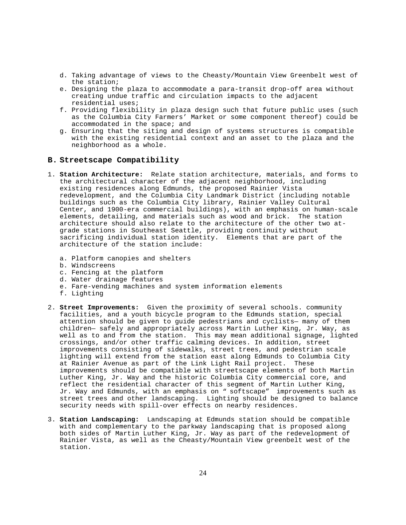- d. Taking advantage of views to the Cheasty/Mountain View Greenbelt west of the station;
- e. Designing the plaza to accommodate a para-transit drop-off area without creating undue traffic and circulation impacts to the adjacent residential uses;
- f. Providing flexibility in plaza design such that future public uses (such as the Columbia City Farmers' Market or some component thereof) could be accommodated in the space; and
- g. Ensuring that the siting and design of systems structures is compatible with the existing residential context and an asset to the plaza and the neighborhood as a whole.

#### **B. Streetscape Compatibility**

- 1. **Station Architecture:** Relate station architecture, materials, and forms to the architectural character of the adjacent neighborhood, including existing residences along Edmunds, the proposed Rainier Vista redevelopment, and the Columbia City Landmark District (including notable buildings such as the Columbia City library, Rainier Valley Cultural Center, and 1900-era commercial buildings), with an emphasis on human-scale elements, detailing, and materials such as wood and brick. The station architecture should also relate to the architecture of the other two atgrade stations in Southeast Seattle, providing continuity without sacrificing individual station identity. Elements that are part of the architecture of the station include:
	- a. Platform canopies and shelters
	- b. Windscreens
	- c. Fencing at the platform
	- d. Water drainage features
	- e. Fare-vending machines and system information elements
	- f. Lighting
- 2. **Street Improvements:** Given the proximity of several schools. community facilities, and a youth bicycle program to the Edmunds station, special attention should be given to guide pedestrians and cyclists— many of them children— safely and appropriately across Martin Luther King, Jr. Way, as well as to and from the station. This may mean additional signage, lighted crossings, and/or other traffic calming devices. In addition, street improvements consisting of sidewalks, street trees, and pedestrian scale lighting will extend from the station east along Edmunds to Columbia City at Rainier Avenue as part of the Link Light Rail project. These improvements should be compatible with streetscape elements of both Martin Luther King, Jr. Way and the historic Columbia City commercial core, and reflect the residential character of this segment of Martin Luther King, Jr. Way and Edmunds, with an emphasis on " softscape" improvements such as street trees and other landscaping. Lighting should be designed to balance security needs with spill-over effects on nearby residences.
- 3. **Station Landscaping:** Landscaping at Edmunds station should be compatible with and complementary to the parkway landscaping that is proposed along both sides of Martin Luther King, Jr. Way as part of the redevelopment of Rainier Vista, as well as the Cheasty/Mountain View greenbelt west of the station.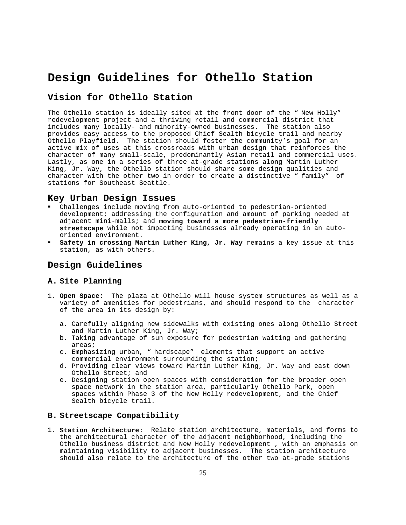# **Design Guidelines for Othello Station**

# **Vision for Othello Station**

The Othello station is ideally sited at the front door of the " New Holly" redevelopment project and a thriving retail and commercial district that includes many locally- and minority-owned businesses. The station also provides easy access to the proposed Chief Sealth bicycle trail and nearby Othello Playfield. The station should foster the community's goal for an active mix of uses at this crossroads with urban design that reinforces the character of many small-scale, predominantly Asian retail and commercial uses. Lastly, as one in a series of three at-grade stations along Martin Luther King, Jr. Way, the Othello station should share some design qualities and character with the other two in order to create a distinctive " family" of stations for Southeast Seattle.

#### **Key Urban Design Issues**

- ! Challenges include moving from auto-oriented to pedestrian-oriented development; addressing the configuration and amount of parking needed at adjacent mini-malls; and **moving toward a more pedestrian-friendly streetscape** while not impacting businesses already operating in an autooriented environment.
- ! **Safety in crossing Martin Luther King, Jr. Way** remains a key issue at this station, as with others.

#### **Design Guidelines**

#### **A. Site Planning**

- 1. **Open Space:** The plaza at Othello will house system structures as well as a variety of amenities for pedestrians, and should respond to the character of the area in its design by:
	- a. Carefully aligning new sidewalks with existing ones along Othello Street and Martin Luther King, Jr. Way;
	- b. Taking advantage of sun exposure for pedestrian waiting and gathering areas;
	- c. Emphasizing urban, " hardscape" elements that support an active commercial environment surrounding the station;
	- d. Providing clear views toward Martin Luther King, Jr. Way and east down Othello Street; and
	- e. Designing station open spaces with consideration for the broader open space network in the station area, particularly Othello Park, open spaces within Phase 3 of the New Holly redevelopment, and the Chief Sealth bicycle trail.

#### **B. Streetscape Compatibility**

1. **Station Architecture:** Relate station architecture, materials, and forms to the architectural character of the adjacent neighborhood, including the Othello business district and New Holly redevelopment , with an emphasis on maintaining visibility to adjacent businesses. The station architecture should also relate to the architecture of the other two at-grade stations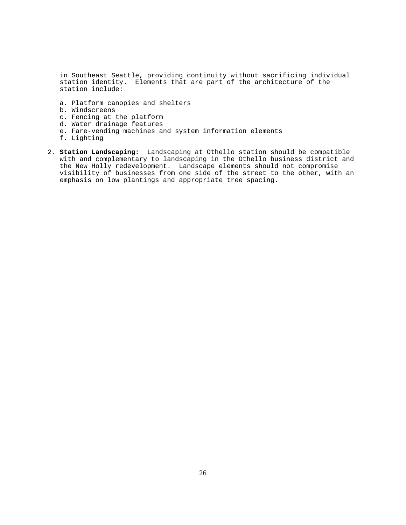in Southeast Seattle, providing continuity without sacrificing individual station identity. Elements that are part of the architecture of the station include:

- a. Platform canopies and shelters
- b. Windscreens
- c. Fencing at the platform
- d. Water drainage features
- e. Fare-vending machines and system information elements
- f. Lighting
- 2. **Station Landscaping:** Landscaping at Othello station should be compatible with and complementary to landscaping in the Othello business district and the New Holly redevelopment. Landscape elements should not compromise visibility of businesses from one side of the street to the other, with an emphasis on low plantings and appropriate tree spacing.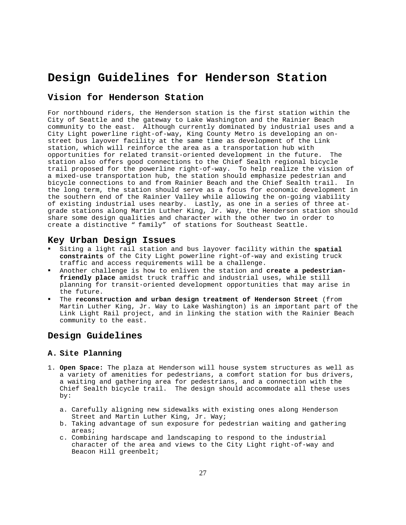# **Design Guidelines for Henderson Station**

# **Vision for Henderson Station**

For northbound riders, the Henderson station is the first station within the City of Seattle and the gateway to Lake Washington and the Rainier Beach community to the east. Although currently dominated by industrial uses and a City Light powerline right-of-way, King County Metro is developing an onstreet bus layover facility at the same time as development of the Link station, which will reinforce the area as a transportation hub with opportunities for related transit-oriented development in the future. The station also offers good connections to the Chief Sealth regional bicycle trail proposed for the powerline right-of-way. To help realize the vision of a mixed-use transportation hub, the station should emphasize pedestrian and bicycle connections to and from Rainier Beach and the Chief Sealth trail. In the long term, the station should serve as a focus for economic development in the southern end of the Rainier Valley while allowing the on-going viability of existing industrial uses nearby. Lastly, as one in a series of three atgrade stations along Martin Luther King, Jr. Way, the Henderson station should share some design qualities and character with the other two in order to create a distinctive " family" of stations for Southeast Seattle.

#### **Key Urban Design Issues**

- ! Siting a light rail station and bus layover facility within the **spatial constraints** of the City Light powerline right-of-way and existing truck traffic and access requirements will be a challenge.
- ! Another challenge is how to enliven the station and **create a pedestrianfriendly place** amidst truck traffic and industrial uses, while still planning for transit-oriented development opportunities that may arise in the future.
- ! The **reconstruction and urban design treatment of Henderson Street** (from Martin Luther King, Jr. Way to Lake Washington) is an important part of the Link Light Rail project, and in linking the station with the Rainier Beach community to the east.

### **Design Guidelines**

#### **A. Site Planning**

- 1. **Open Space:** The plaza at Henderson will house system structures as well as a variety of amenities for pedestrians, a comfort station for bus drivers, a waiting and gathering area for pedestrians, and a connection with the Chief Sealth bicycle trail. The design should accommodate all these uses by:
	- a. Carefully aligning new sidewalks with existing ones along Henderson Street and Martin Luther King, Jr. Way;
	- b. Taking advantage of sun exposure for pedestrian waiting and gathering areas;
	- c. Combining hardscape and landscaping to respond to the industrial character of the area and views to the City Light right-of-way and Beacon Hill greenbelt;